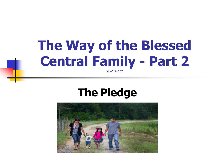### **The Way of the Blessed Central Family - Part 2**

Silke White

#### **The Pledge**

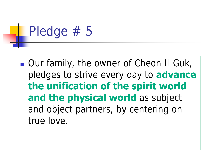# Pledge # 5

**Our family, the owner of Cheon II Guk,** pledges to strive every day to **advance the unification of the spirit world and the physical world** as subject and object partners, by centering on true love.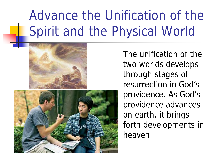### Advance the Unification of the Spirit and the Physical World





The unification of the two worlds develops through stages of resurrection in God's providence. As God's providence advances on earth, it brings forth developments in heaven.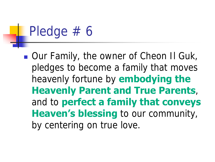# Pledge # 6

**Our Family, the owner of Cheon II Guk,** pledges to become a family that moves heavenly fortune by **embodying the Heavenly Parent and True Parents**, and to **perfect a family that conveys Heaven's blessing** to our community, by centering on true love.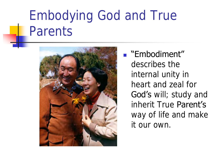#### Embodying God and True Parents



■ "Embodiment" describes the internal unity in heart and zeal for God's will; study and inherit True Parent's way of life and make it our own.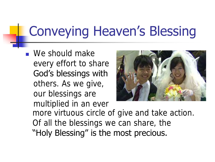### Conveying Heaven's Blessing

**Ne should make** every effort to share God's blessings with others. As we give, our blessings are multiplied in an ever more virtuous circle of give and take action. Of all the blessings we can share, the "Holy Blessing" is the most precious.

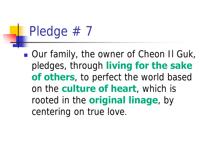# Pledge #7

■ Our family, the owner of Cheon II Guk, pledges, through **living for the sake of others**, to perfect the world based on the **culture of heart**, which is rooted in the **original linage**, by centering on true love.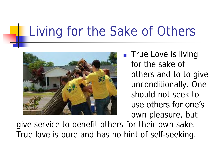#### Living for the Sake of Others



**True Love is living** for the sake of others and to to give unconditionally. One should not seek to use others for one's own pleasure, but

give service to benefit others for their own sake. True love is pure and has no hint of self-seeking.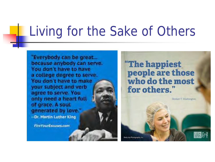#### Living for the Sake of Others

"Everybody can be great... because anybody can serve. You don't have to have a college degree to serve. You don't have to make your subject and verb agree to serve. You only need a heart full of grace, A soul generated by love." --Dr. Martin Luther King

**FireYourExcuses.com** 

"The happiest people are those who do the most for others."

腰はす Keely Joy Photography, Inc.

-Booker T. Washington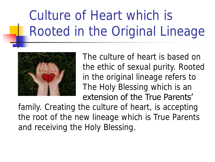### Culture of Heart which is Rooted in the Original Lineage



The culture of heart is based on the ethic of sexual purity. Rooted in the original lineage refers to The Holy Blessing which is an extension of the True Parents'

family. Creating the culture of heart, is accepting the root of the new lineage which is True Parents and receiving the Holy Blessing.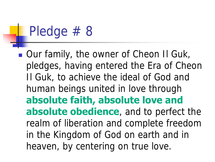### Pledge #8

**Our family, the owner of Cheon II Guk,** pledges, having entered the Era of Cheon Il Guk, to achieve the ideal of God and human beings united in love through **absolute faith, absolute love and absolute obedience**, and to perfect the realm of liberation and complete freedom in the Kingdom of God on earth and in heaven, by centering on true love.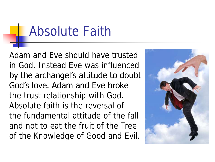#### Absolute Faith

Adam and Eve should have trusted in God. Instead Eve was influenced by the archangel's attitude to doubt God's love. Adam and Eve broke the trust relationship with God. Absolute faith is the reversal of the fundamental attitude of the fall and not to eat the fruit of the Tree of the Knowledge of Good and Evil.

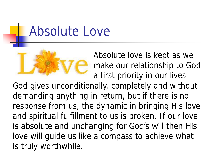#### Absolute Love



Absolute love is kept as we make our relationship to God a first priority in our lives.

God gives unconditionally, completely and without demanding anything in return, but if there is no response from us, the dynamic in bringing His love and spiritual fulfillment to us is broken. If our love is absolute and unchanging for God's will then His love will guide us like a compass to achieve what is truly worthwhile.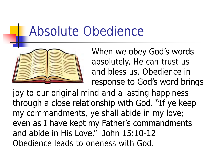#### Absolute Obedience



When we obey God's words absolutely, He can trust us and bless us. Obedience in response to God's word brings

joy to our original mind and a lasting happiness through a close relationship with God. "If ye keep my commandments, ye shall abide in my love; even as I have kept my Father's commandments and abide in His Love." John 15:10-12 Obedience leads to oneness with God.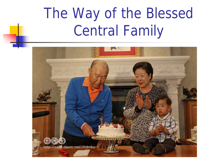## The Way of the Blessed Central Family

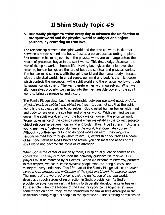#### **II Shim Study Topic #5**

**s. Our family pledges to strive every day to advance the unification of the spirit world and the physical world as subject and object partners, by centering on true love.** 

The relationship between the spirit world and the physical world is like that between a person's mind and body. Just as a person acts according to plans first formed in his mind, events in the physical world are to a large extent the results of processes begun in the spirit world. This first pledge discussed the role of the spirit world in human life. Having been given dominion over the creation, human beings are the lord of both the spiritual and physical worlds. The human mind connects with the spirit world and the human body interacts with the physical world. In a real sense, our mind and body is the microcosm which controls the macrocosm—the spirit world and the physical world—through its resonance with them. The key, therefore, lies within ourselves. When we align ourselves properly, we can tap into the inexhaustible power of the spirit world to bring us prosperity and victory.

The Family Pledge describes the relationship between the spirit world and the physical world as subject and object partners. It does not say that the spirit world is the subject partner to ourselves. God created human beings with mind and body to rule over the spiritual and physical world. With the mind we can govern the spirit world, and with the body we can govern the physical world. Proper governance of the cosmos begins when we establish the correct subjectobject relationship between our mind and body. Thus, True Father's motto as a young man was, "Before you dominate the world, first dominate yourself." Although countless spirits long to do good works on earth, they require a responsive mediator through whom to act. By establishing yourself as a center of harmony between God's Word and action, you can meet the needs of the spirit world and become the focus of its attention.

When God is the center of our daily focus, His spiritual guidance comes to us constantly. The key is to act upon the heavenly guidance we receive. Our prayers must be matched by our deeds. When we become trustworthy partners in this respect, we can become dynamic people who can bring success and victory to every endeavor. This fifth part of the Family Pledge calls us to *strive* every day to advance the unification of the spirit world and the physical world. The import of the word *advance* is that the unification of the two worlds develops through stages of resurrection in God's providence. As God's providence advances on earth, it brings forth parallel developments in heaven. For example, when the leaders of the living religions come together at large conferences on earth, they lay the foundation for similar breakthroughs in the unification among religious people in the spirit world. The Blessing of millions on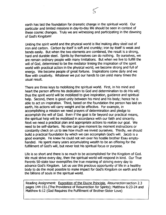earth has laid the foundation for dramatic change in the spiritual world. Our particular and limited missions in day-to-day life should be seen in context of these cosmic changes. Truly we are witnessing and participating in the dawning of God's Kingdom!

Uniting the spirit world and the physical world is like making alloy steel out of iron and carbon. Carbon by itself is soft and crumbly; iron by itself is weak and bends easily. But when the two elements are combined, the result is a strong, hard and durable steel. Spirits by themselves can do nothing. By ourselves, we are remain ordinary people with many limitations. But when we live to fulfill the will of God, determined to be the mediator linking the inspiration of the spirit world with practical action in the physical world, we become strong and full of energy. We become people of great fortune. Inspirations come daily and we flow with creativity. Whatever we put our hands to can yield many times the usual result.

There are three keys to mobilizing the spiritual world. First, in his mind and heart the person affirms his dedication to God and determination to do His will; thus the spirit world will be mobilized to give inspiration, guidance and spiritual help. Second, there is good unity between his mind and his body; hence he is able to act on inspiration. Third, based on the foundation the person has laid on earth, his actions will carry weight and be effective. For example, in accomplishing a mission we need prayers of determination and pledge to accomplish the will of God. Even if the goal is far beyond our practical means, the spiritual help will be mobilized in accordance with our faith and sincerity. Next we need a practical plan and appropriate actions to realize our goal. We need to be self-starters. No one can give moment by moment instructions or constantly check on us to see how much we invest ourselves. Thirdly, we should build a practical foundation by which we can accomplish God's will. Jacob is a good example. He knew he could not win over his hostile brother Esau emptyhanded. He spent many years accumulating wealth to be an offering for the fulfillment of God's will, but never lost his spiritual focus or purpose.

Life is so short and there is so much to be accomplished for the Kingdom of God. We must strive every day, then the spiritual world will respond in kind. Our True Parents SO-state tour exemplifies the true meaning of striving every day to advance God's Kingdom. Let us use this precious opportunity of life in a healthy body to do the most possible to make impact for God's Kingdom on earth and for the billions of souls in the spiritual world.

Reading Assignment: Exposition of the Divine Principle, Resurrection section 2.3 pages 144-151.(The Providence of Resurrection for Spirits); Matthew 6:23-24 and Matthew 6:12 (God Requires the Fulfillment of Brother-Sister Love)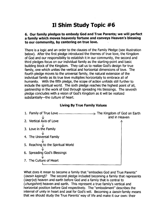#### **II Shim Study Topic #6**

#### **6. Our family pledges to embody God and True Parents; we will perfect**  a family which moves heavenly fortune and conveys Heaven's blessing **to our community, by centering on true love.**

There is a logic and an order to the clauses of the Family Pledge (see illustration below). After the first pledge introduced the themes of true love, the Kingdom of God and our responsibility to establish it in our community, the second and third pledges focus on our individual family as the starting-point and basic building block of the Kingdom. They call us to realize God's design for true family, one which unites the vertical and horizontal dimensions of love. The fourth pledge moves to the universal family, the natural extension of the individual family as its true love multiplies horizontally to embrace all of humanity. With the fifth pledge, the scope of action unfolds still further to include the spiritual world. The sixth pledge reaches the highest point of all, partnership in the work of God through spreading His blessings. The seventh pledge concludes with a vision of God's Kingdom as it will be realized substantially--the culture of heart.

#### **Living By True Family Values**



What does it mean to become a family that "embodies God and True Parents" (*taesin kajong*)? The second pledge included becoming a family that represents ( $t\alpha ep'yo$ ) heaven and earth before God and a family that is central to (*chungshim*) heaven and earth. This represent a true family's vertical and horizontal position before God respectively. The "embodiment" describes the internal of unity in heart and zeal for God's will. Becoming a *taesin* family means that we should study the True Parents' way of life and make it our own: their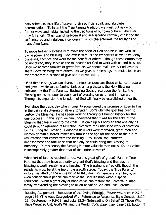daily schedule, their life of prayer, their sacrificial spirit, and absolute determination. To inherit the True Parents tradition, we must put aside our former ways and habits, including the traditions of our own culture, wherever they fall short. Their way of self-denial and self-sacrifice certainly challenge the self-centered and indulgent individualism which characterizes the lifestyles of many Americans. ·'' *u),* J •. , . ): ,

To move heavenly fortune is to move the heart of God and be in line with His divine power and blessing. God dwells with us and empowers us when we deny ourselves, sacrifice and work for the benefit of others. Though these efforts may go unnoticed, they serve as the foundation for God to work with us and bless us. Once we become families of great fortune, we should make every endeavor to share God's blessings with others. As we give, our blessings are multiplied in an ever more virtuous circle of give-and-receive action.

' /

学

 $\bigcap$ 

Of all the blessings we can share, the most precious are those which can restore and give new life to the family. Unique among these is the Holy Blessing officiated by the True Parents. Bestowing God's grace upon the family, the Blessing opens the door to every sort of blessing on earth and in heaven. Through its expansion the kingdom of God will finally be established on earth.

Ever since the tragic day when humanity squandered the promise of Eden to live in the pain and suffering of slavery to Satan, God's ultimate goal has been to bestow the Blessing. He has been working throughout human history for this one purpose. In this light, we can understand that it was for the sake of the Blessing that Jesus went to the cross. He gave up his body so that one day he could through returning resurrection, complete the unfinished work of salvation by instituting the Blessing. Countless believers were martyred, great men and women of faith suffered immensely through the age for the hope of the future resurrection that comes with the Blessing. Rev. Moon, too, suffered imprisonment and torture so that one day he could bring the Blessing to humanity. In this sense, the Blessing is more valuable than one's life. Its value is incomparably greater than that of the entire universe!

What sort of faith is required to receive this great gift of grace? Faith in True Parents; that they have authority to grant God's blessing and that such a blessing is worth receiving and keeping. The blessing is a free gift, though the recipients must be at the top of the growth stage. Today, the True Parents' victory has lifted up the entire world to that level, so members of all faiths, or even conscientious people can receive the Holy Blessing without special conditions. What a great day of hope as we can restore the universal human family by extending the blessing to all on behalf of God and True Parents!

Reading Assignment: Exposition of the Divine Principle, *Restoration* section 2.2.5 page 186, (The Ages Catagorized With Reference to Responsibility); Genesis 18:20- 23, Deuteronomy 9:9-19, and Luke 23:34 (Interceding On Behalf Of Those Who Have Wronged Us); God's Will and the World, *Total Indemnity*, page 593, bottom \[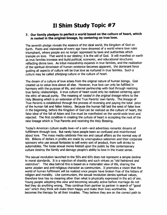#### **II Shim Study Topic #7**

#### *1.* **Our family pledges to perfect a world based on the culture of heart, which**  is rooted in the original lineage, by centering on true love.

The seventh pledge reveals the essence of the ideal world, the Kingdom of God on Earth. Poets and visionaries of every age have dreamed of a world where love rules triumphant, where people are no longer oppressed by laws and authorities which trample on love. That world is our destiny; it is the will of God. It will manifest on earth as true families increase and build political, economic, and educational structures reflecting divine love. As tribal messiahship expands in true families, and the realization of the spiritual dimension of human existence becomes apparent, the dominant force guiding all aspects of culture will be true love as nurtured in true families. Such a culture may be called *shimiong* culture or the culture of heart.

The dream of a culture of love arises from the original nature of human beings. God created us to value love above all else. However, true love can only be fulfilled in harmony with the purpose of life, and eternal partnership with God through realizing true family relationships. A true culture of heart could only be realized centering upon the ethic of sexual purity. The meaning of *rooted in the original lineage* refers to the Holy Blessing which is an extension of the True Parents' own family. The lineage of True Parents is established through the process of reversing and paying the total price of the human fall and fallen history. Because the human fall laid the seed of false love in the beginning, before the Kingdom of God can be realized as the culture of heart, the false ideal of the fall of Adam and Eve must be manifested on the world-wide level and rejected. The first condition in creating the culture of heart is accepting the root of the new lineage which is True Parents and receiving the Holy Blessing.

Today's American culture exalts love-of a sort-and advertises romantic dreams of fulfillment through love. But rarely have people been so confused and misinformed about love. The mass media celebrate free sex and casual affairs as the normal way of life. Billions of dollars in profits are made by unscrupulous salesmen and their corporate sponsors who use sexual fantasies to sell every sort of product, from soft drinks to automobiles. The loose sexual mores foisted upon the public by this contemporary culture destroy the family and damage people's ability to love in the truest sense.

The sexual revolution launched in the SO's and 60's does not represent a simple decline in moral standards. It is a rejection of chastity and such virtues as "old fashioned and restrictive". The idea behind this is based on a materialist view of life, sharing the same utopian and anti-religious character as communism. It promotes a vision that the world of human fulfillment will be realized once people have broken free of the fetters of religion and morality. Like communism, the sexual revolution denies spiritual values, therefore love has no meaning other than what is physically expressed in the act of sex. Young people adopting this view and becoming sexually active before marriage do not feel they do anything wrong. They continue from partner to partner in search of "good sex" which they think will make them happy and make their lives worthwhile. Sex becomes the therapy for all their troubles. They believe they are on the correct path to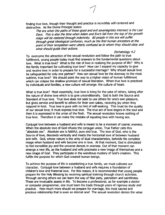finding true love, though their thought and practice is incredibly self-centered and destructive. As the Divine Principle states:

The era when the paths of these good and evil sovereignties intersect is the Last Days. This is also the time when Adam and Eve's fall from the top of the growth stage will be restored through indemnity. All people in this era will suffer through great ideological confusion, much as the first human ancestors at the point of their temptation were utterly confused as to whom they should obey and what should guide their actions.

Eschatology 4.2

To overcome the attraction of the sexual revolution and follow the path to true fulfillment, young people today must find answers to the fundamental questions about love. What is true love? What is the role of love in realizing the purpose of life? Why is the family important for cultivating true love? How can I expand my capacity to give and receive love in order to prepare for a successful marriage? Why should sexual love be safeguarded for only one partner? How can sexual love be the doorway to the most sublime, true love? We should point the way to a higher vision of human fulfillment which can eclipse the shallow promises of sexual liberation. When true love is practiced by individuals and families, a new culture will emerge: the culture of heart.

What is true love? Most essentially, true love is living for the sake of others, taking after the nature of divine love which is to give unconditionally. God is both the Source and Standard of true love. True love does not seek to use others for one's own pleasure, but gives service and benefit to others for their own sakes, receiving joy when they respond in kind. True love is pure with no hint of self-seeking. This must be the quality of our sexual love; it must express true love. The true act of love begins in the soul and then it is expressed in the union of the flesh. The sexual revolution knows nothing of true love. Therefore it can make the mistake of equating love with having sex.

Conjugal love between a husband and wife is meant to be a moment of cosmic oneness. When the absolute love of God infuses the conjugal union, True Father calls this "absolute sex". Absolute sex is faithful, pure and true. The love of God, who is the Source of love, descends vertically and meets the horizontal love of between husband and wife. God, whose nature is the unity of dual characteristics, beholds His complete image when husband and wife become one in love. At that moment, God is stimulated to feel incredible joy and the universe dances in oneness. Out of that moment can emerge a new life, as the husband and wife procreate a new image of themselves and a new image of God. They participate in the wondrous mystery of God's creation. This fulfills the purpose for which God created human beings.

To achieve the purpose of life in establishing a true family, we must cultivate our character. Conjugal love between a husband and wife requires a foundation of children's love and fraternal love., For this reason, it is recommended that young people prepare for the Holy Blessing by receiving spiritual training through church activities. Through serving others we can learn the way of filial piety, patriotism and saintliness. These are invaluable assets in life. To become a professional, as for example a doctor or computer programmer, one must learn his trade through years of rigorous study and practice. How much more should we prepare for marriage, the most sacred and precious relationship that is even an eternal one! The sexual revolution denies the value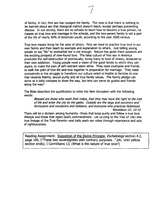of family, in fact, free sex has ravaged the family. The view is that there is nothing to be learned about sex that biological instinct doesn't teach, except perhaps preventing disease. In our society, there are no schools to teach how to become a true person, no classes on true love and marriage in the schools, and the two-parent family is not a part of the life of nearly 50% of American youth, according to the year 2000 census.

True love means living for the sake of others. First we need to practice true love in our own family and then teach by example and explanation to others. Just telling young people to say "No" to premarital sex is not enough. Nature has given them passions ant the exciting prospect of new-found love. The false culture of free sex in America promotes the self-destruction of promiscuity; luring many to lives of misery, enslaved to their own addiction. Young people need a vision of the good family to which they can aspire, to make the pain of self-restraint seem while. They need examples and friends to walk the path of true life and love together in preparation for marriage. They need compatriots in the struggle to transform our culture which is hostile to families to one that rewards fidelity, sexual purity and all true family values. The family pledge can serve as a daily compass to show the way, but who can serve as guides and friends along the way?

The Bible describes the qualification to enter the New Jerusalem with the following words:

Blessed are those who wash their robes, that they may have the right to the tree of life and enter the city by the gates. Outside are the dogs and sorcerers and fornicators and murderers and idolaters, and everyone who practices falsehood. Revelation 22: 14-15

There will be a division among humanity-those that keep purity and follow a true love lifestyle and those that reject God's commandment. Let us cling to the Tree of Life-the true lineage of the True Parents-and daily wash our robes through repentance and acts of righteousness.

Reading Assignment: Exposition of the Divine Principle, *Eschatology* section 4.2, page 100, ("These two sovereignties with contrary purposes ... ",etc. until yellow section ends); I Corinthians 13, (What is the nature of true love?)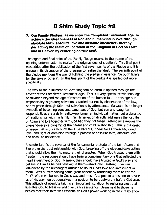#### **II Shim Study Topic #8**

*1.* **Our Family Pledges, as we enter the Completed Testament Age, to achieve the ideal oneness of God and humankind in love through absolute faith, absolute love and absolute obedience, thereby perfecting the realm of liberation of the Kingdom of God on Earth and in Heaven by centering on true love.** 

The eighth and final point of the Family Pledge returns to the theme of the opening determination to realize "the original ideal of creation". This final point was added after the publication of the first seven points of the Pledge and it is unique in its discussion of the **process** to realize the ideal. The seventh point of the pledge mentions the way of fulfilling the pledge in essence, "through living for the sake of others". In this final point of the pledge it is spelled out more specifically.

The way to the fulfillment of God's Kingdom on earth is opened through the advent of the Completed Testament Age. This is a very special providential age of salvation beyond the age of restoration of the human fall. In this age our responsibility is greater; salvation is carried out not by observance of the law, nor by grace through faith, but salvation is by attendance. Salvation is no longer symbolic of becoming sons and daughters of God, but son and daughter responsibilities are a daily reality-no longer an individual matter, but a dynamic of relationships within a family. Family salvation directly addresses the lost life of Adam and Eve together with God had they not fallen. Attendance implies the give-and-receive dynamic of the parent and child relationship. This is the great privilege that is ours through the True Parents, inherit God's character, direct love, and right of dominion through a process of absolute faith, absolute love and absolute obedience.

Absolute faith is the reversal of the fundamental attitude of the fall. Adam and Eve broke the trust relationship with God; breaking off the give-and-take action that should allow them to mature their character. When God trusted them with freedom, the response should have been a complimentary one that reflected the heart investment of God. Namely, they should have trusted in God's way and believe in Him as he had believed in them-absolutely. Instead, Eve was influenced by the archangel's attitude to doubt God's love and investment in them. Was he withholding some great benefit by forbidding them to eat the fruit? When we believe in God's way and those God puts in a position to advise us of His way, we put ourselves in a position to be trustworthy before God also. This attitude of absolute faith is an important condition to restoring trust that liberates God to bless us and give us his assistance. Jesus said to those he healed that their faith was essential to God's power working in their restoration.